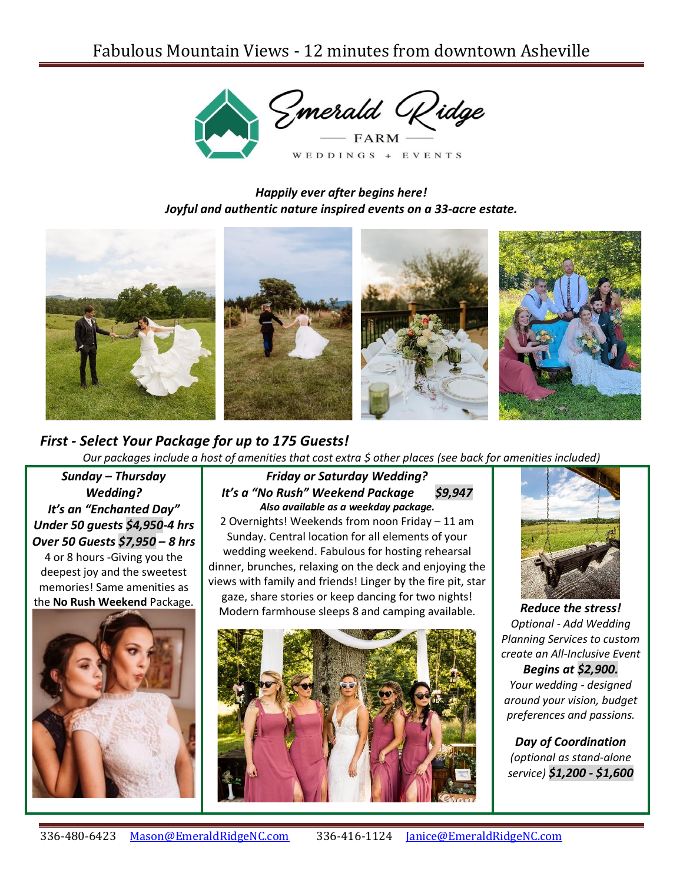

*Happily ever after begins here! Joyful and authentic nature inspired events on a 33-acre estate.*



## *First - Select Your Package for up to 175 Guests!*

*Our packages include a host of amenities that cost extra \$ other places (see back for amenities included)*

*Sunday – Thursday Wedding? It's an "Enchanted Day" Under 50 guests \$4,950-4 hrs Over 50 Guests \$7,950 – 8 hrs*

4 or 8 hours -Giving you the deepest joy and the sweetest memories! Same amenities as the **No Rush Weekend** Package.



## *Friday or Saturday Wedding? It's a "No Rush" Weekend Package \$9,947 Also available as a weekday package.*

2 Overnights! Weekends from noon Friday – 11 am Sunday. Central location for all elements of your wedding weekend. Fabulous for hosting rehearsal dinner, brunches, relaxing on the deck and enjoying the views with family and friends! Linger by the fire pit, star gaze, share stories or keep dancing for two nights! Modern farmhouse sleeps 8 and camping available. *Reduce the stress!* 





*Optional* - *Add Wedding Planning Services to custom create an All-Inclusive Event*

*Begins at \$2,900. Your wedding - designed around your vision, budget preferences and passions.*

*Day of Coordination (optional as stand-alone service) \$1,200 - \$1,600*